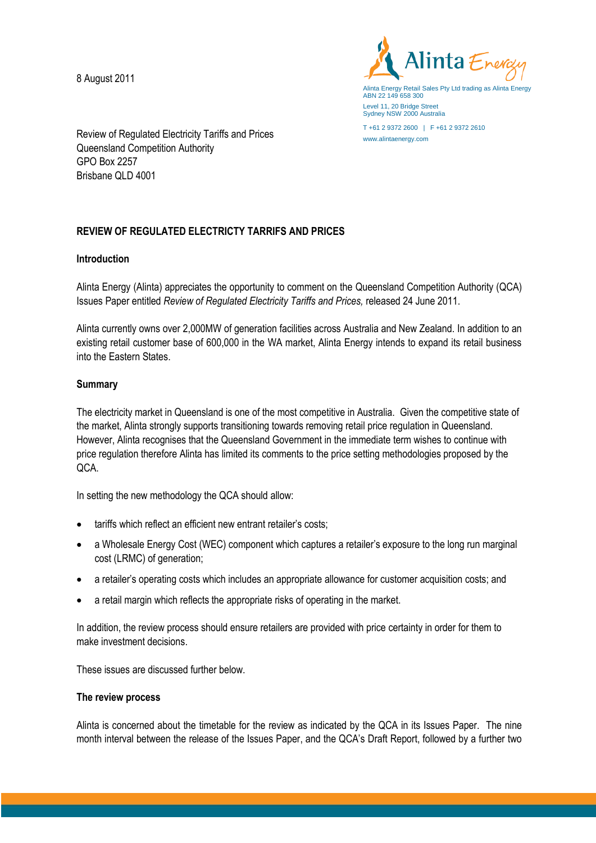8 August 2011



Alinta Energy Retail Sales Pty Ltd trading as Alinta Energy ABN 22 149 658 300 Level 11, 20 Bridge Street Sydney NSW 2000 Australia

T +61 2 9372 2600 | F +61 2 9372 2610 www.alintaenergy.com

Review of Regulated Electricity Tariffs and Prices Queensland Competition Authority GPO Box 2257 Brisbane QLD 4001

# **REVIEW OF REGULATED ELECTRICTY TARRIFS AND PRICES**

## **Introduction**

Alinta Energy (Alinta) appreciates the opportunity to comment on the Queensland Competition Authority (QCA) Issues Paper entitled *Review of Regulated Electricity Tariffs and Prices,* released 24 June 2011.

Alinta currently owns over 2,000MW of generation facilities across Australia and New Zealand. In addition to an existing retail customer base of 600,000 in the WA market, Alinta Energy intends to expand its retail business into the Eastern States.

## **Summary**

The electricity market in Queensland is one of the most competitive in Australia. Given the competitive state of the market, Alinta strongly supports transitioning towards removing retail price regulation in Queensland. However, Alinta recognises that the Queensland Government in the immediate term wishes to continue with price regulation therefore Alinta has limited its comments to the price setting methodologies proposed by the QCA.

In setting the new methodology the QCA should allow:

- tariffs which reflect an efficient new entrant retailer's costs;
- a Wholesale Energy Cost (WEC) component which captures a retailer's exposure to the long run marginal cost (LRMC) of generation;
- a retailer's operating costs which includes an appropriate allowance for customer acquisition costs; and
- a retail margin which reflects the appropriate risks of operating in the market.

In addition, the review process should ensure retailers are provided with price certainty in order for them to make investment decisions.

These issues are discussed further below.

## **The review process**

Alinta is concerned about the timetable for the review as indicated by the QCA in its Issues Paper. The nine month interval between the release of the Issues Paper, and the QCA's Draft Report, followed by a further two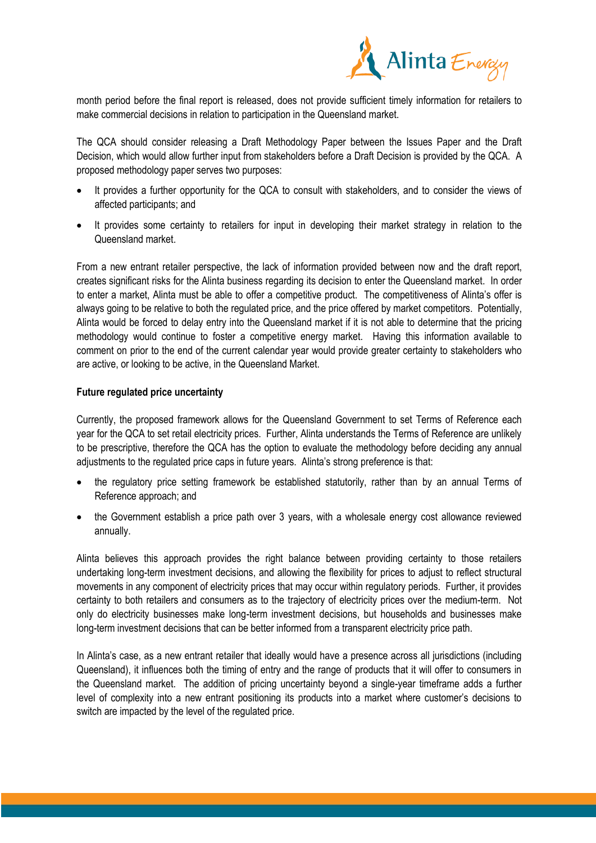

month period before the final report is released, does not provide sufficient timely information for retailers to make commercial decisions in relation to participation in the Queensland market.

The QCA should consider releasing a Draft Methodology Paper between the Issues Paper and the Draft Decision, which would allow further input from stakeholders before a Draft Decision is provided by the QCA. A proposed methodology paper serves two purposes:

- It provides a further opportunity for the QCA to consult with stakeholders, and to consider the views of affected participants; and
- It provides some certainty to retailers for input in developing their market strategy in relation to the Queensland market.

From a new entrant retailer perspective, the lack of information provided between now and the draft report, creates significant risks for the Alinta business regarding its decision to enter the Queensland market. In order to enter a market, Alinta must be able to offer a competitive product. The competitiveness of Alinta's offer is always going to be relative to both the regulated price, and the price offered by market competitors. Potentially, Alinta would be forced to delay entry into the Queensland market if it is not able to determine that the pricing methodology would continue to foster a competitive energy market. Having this information available to comment on prior to the end of the current calendar year would provide greater certainty to stakeholders who are active, or looking to be active, in the Queensland Market.

## **Future regulated price uncertainty**

Currently, the proposed framework allows for the Queensland Government to set Terms of Reference each year for the QCA to set retail electricity prices. Further, Alinta understands the Terms of Reference are unlikely to be prescriptive, therefore the QCA has the option to evaluate the methodology before deciding any annual adjustments to the regulated price caps in future years. Alinta's strong preference is that:

- the regulatory price setting framework be established statutorily, rather than by an annual Terms of Reference approach; and
- the Government establish a price path over 3 years, with a wholesale energy cost allowance reviewed annually.

Alinta believes this approach provides the right balance between providing certainty to those retailers undertaking long-term investment decisions, and allowing the flexibility for prices to adjust to reflect structural movements in any component of electricity prices that may occur within regulatory periods. Further, it provides certainty to both retailers and consumers as to the trajectory of electricity prices over the medium-term. Not only do electricity businesses make long-term investment decisions, but households and businesses make long-term investment decisions that can be better informed from a transparent electricity price path.

In Alinta's case, as a new entrant retailer that ideally would have a presence across all jurisdictions (including Queensland), it influences both the timing of entry and the range of products that it will offer to consumers in the Queensland market. The addition of pricing uncertainty beyond a single-year timeframe adds a further level of complexity into a new entrant positioning its products into a market where customer's decisions to switch are impacted by the level of the regulated price.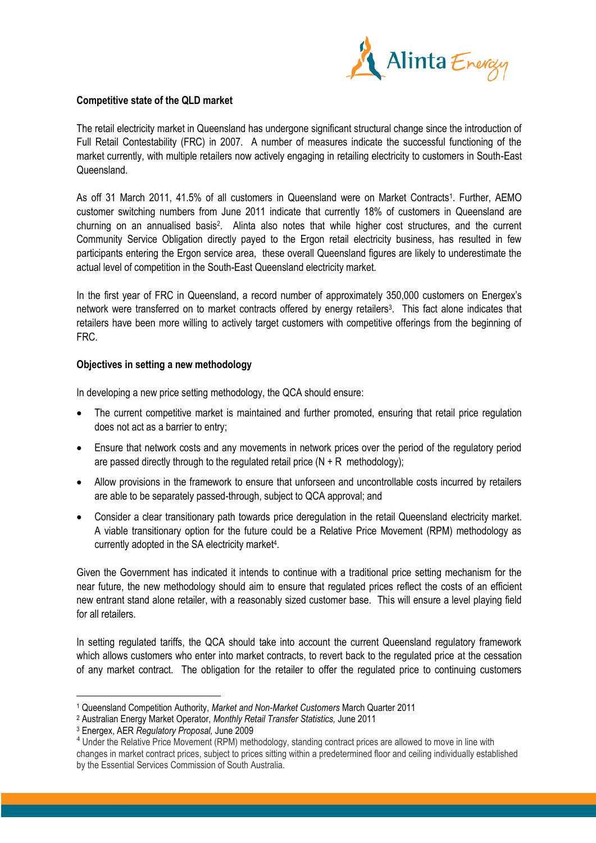

## **Competitive state of the QLD market**

The retail electricity market in Queensland has undergone significant structural change since the introduction of Full Retail Contestability (FRC) in 2007. A number of measures indicate the successful functioning of the market currently, with multiple retailers now actively engaging in retailing electricity to customers in South-East Queensland.

As off 31 March 2011, 41.5% of all customers in Queensland were on Market Contracts<sup>1</sup>. Further, AEMO customer switching numbers from June 2011 indicate that currently 18% of customers in Queensland are churning on an annualised basis<sup>2</sup>. Alinta also notes that while higher cost structures, and the current Community Service Obligation directly payed to the Ergon retail electricity business, has resulted in few participants entering the Ergon service area, these overall Queensland figures are likely to underestimate the actual level of competition in the South-East Queensland electricity market.

In the first year of FRC in Queensland, a record number of approximately 350,000 customers on Energex's network were transferred on to market contracts offered by energy retailers<sup>3</sup>. This fact alone indicates that retailers have been more willing to actively target customers with competitive offerings from the beginning of FRC.

## **Objectives in setting a new methodology**

In developing a new price setting methodology, the QCA should ensure:

- The current competitive market is maintained and further promoted, ensuring that retail price regulation does not act as a barrier to entry;
- Ensure that network costs and any movements in network prices over the period of the regulatory period are passed directly through to the regulated retail price  $(N + R$  methodology);
- Allow provisions in the framework to ensure that unforseen and uncontrollable costs incurred by retailers are able to be separately passed-through, subject to QCA approval; and
- Consider a clear transitionary path towards price deregulation in the retail Queensland electricity market. A viable transitionary option for the future could be a Relative Price Movement (RPM) methodology as currently adopted in the SA electricity market<sup>4</sup>.

Given the Government has indicated it intends to continue with a traditional price setting mechanism for the near future, the new methodology should aim to ensure that regulated prices reflect the costs of an efficient new entrant stand alone retailer, with a reasonably sized customer base. This will ensure a level playing field for all retailers.

In setting regulated tariffs, the QCA should take into account the current Queensland regulatory framework which allows customers who enter into market contracts, to revert back to the regulated price at the cessation of any market contract. The obligation for the retailer to offer the regulated price to continuing customers

 $\overline{a}$ 

<sup>1</sup> Queensland Competition Authority, *Market and Non-Market Customers* March Quarter 2011

<sup>2</sup> Australian Energy Market Operator, *Monthly Retail Transfer Statistics,* June 2011

<sup>3</sup> Energex, AER *Regulatory Proposal,* June 2009

<sup>&</sup>lt;sup>4</sup> Under the Relative Price Movement (RPM) methodology, standing contract prices are allowed to move in line with changes in market contract prices, subject to prices sitting within a predetermined floor and ceiling individually established by the Essential Services Commission of South Australia.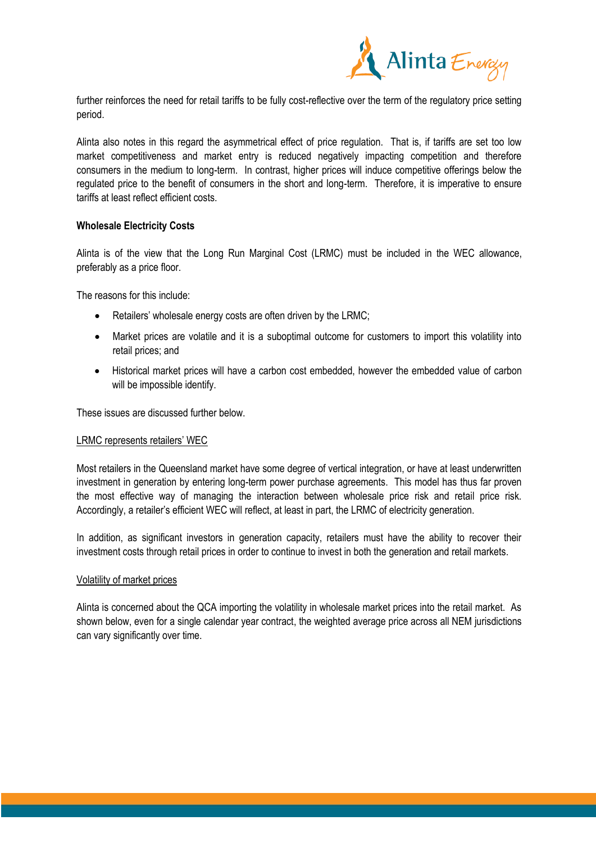

further reinforces the need for retail tariffs to be fully cost-reflective over the term of the regulatory price setting period.

Alinta also notes in this regard the asymmetrical effect of price regulation. That is, if tariffs are set too low market competitiveness and market entry is reduced negatively impacting competition and therefore consumers in the medium to long-term. In contrast, higher prices will induce competitive offerings below the regulated price to the benefit of consumers in the short and long-term. Therefore, it is imperative to ensure tariffs at least reflect efficient costs.

## **Wholesale Electricity Costs**

Alinta is of the view that the Long Run Marginal Cost (LRMC) must be included in the WEC allowance, preferably as a price floor.

The reasons for this include:

- Retailers' wholesale energy costs are often driven by the LRMC;
- Market prices are volatile and it is a suboptimal outcome for customers to import this volatility into retail prices; and
- Historical market prices will have a carbon cost embedded, however the embedded value of carbon will be impossible identify.

These issues are discussed further below.

#### LRMC represents retailers' WEC

Most retailers in the Queensland market have some degree of vertical integration, or have at least underwritten investment in generation by entering long-term power purchase agreements. This model has thus far proven the most effective way of managing the interaction between wholesale price risk and retail price risk. Accordingly, a retailer's efficient WEC will reflect, at least in part, the LRMC of electricity generation.

In addition, as significant investors in generation capacity, retailers must have the ability to recover their investment costs through retail prices in order to continue to invest in both the generation and retail markets.

### Volatility of market prices

Alinta is concerned about the QCA importing the volatility in wholesale market prices into the retail market. As shown below, even for a single calendar year contract, the weighted average price across all NEM jurisdictions can vary significantly over time.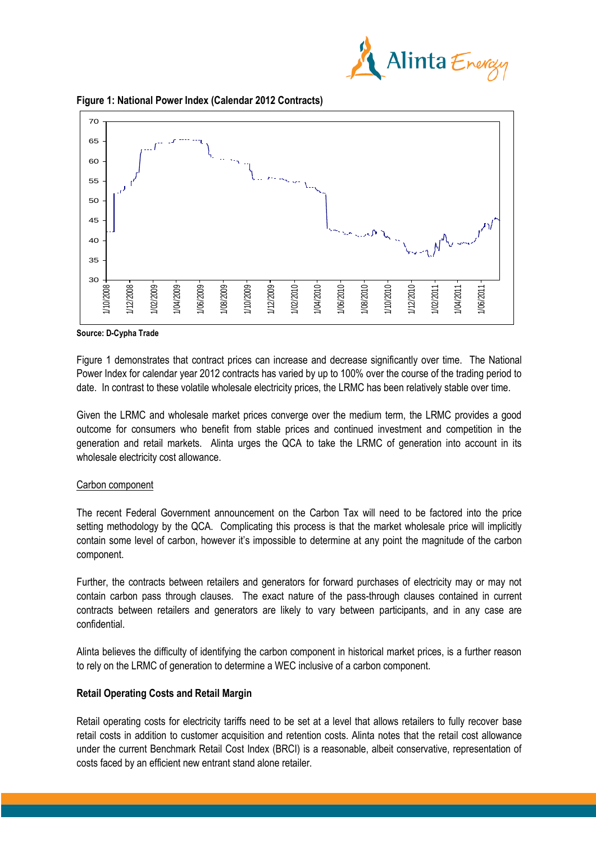





**Source: D-Cypha Trade**

Figure 1 demonstrates that contract prices can increase and decrease significantly over time. The National Power Index for calendar year 2012 contracts has varied by up to 100% over the course of the trading period to date. In contrast to these volatile wholesale electricity prices, the LRMC has been relatively stable over time.

Given the LRMC and wholesale market prices converge over the medium term, the LRMC provides a good outcome for consumers who benefit from stable prices and continued investment and competition in the generation and retail markets. Alinta urges the QCA to take the LRMC of generation into account in its wholesale electricity cost allowance.

## Carbon component

The recent Federal Government announcement on the Carbon Tax will need to be factored into the price setting methodology by the QCA. Complicating this process is that the market wholesale price will implicitly contain some level of carbon, however it's impossible to determine at any point the magnitude of the carbon component.

Further, the contracts between retailers and generators for forward purchases of electricity may or may not contain carbon pass through clauses. The exact nature of the pass-through clauses contained in current contracts between retailers and generators are likely to vary between participants, and in any case are confidential.

Alinta believes the difficulty of identifying the carbon component in historical market prices, is a further reason to rely on the LRMC of generation to determine a WEC inclusive of a carbon component.

# **Retail Operating Costs and Retail Margin**

Retail operating costs for electricity tariffs need to be set at a level that allows retailers to fully recover base retail costs in addition to customer acquisition and retention costs. Alinta notes that the retail cost allowance under the current Benchmark Retail Cost Index (BRCI) is a reasonable, albeit conservative, representation of costs faced by an efficient new entrant stand alone retailer.